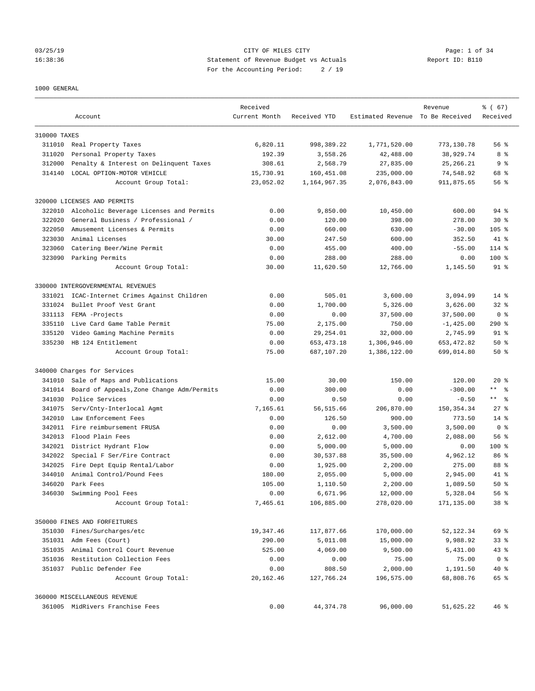# 03/25/19 Page: 1 of 34 16:38:36 Statement of Revenue Budget vs Actuals Report ID: B110 For the Accounting Period: 2 / 19

### 1000 GENERAL

|              | Account                                   | Received<br>Current Month | Received YTD | Estimated Revenue To Be Received | Revenue     | % (67)<br>Received      |
|--------------|-------------------------------------------|---------------------------|--------------|----------------------------------|-------------|-------------------------|
| 310000 TAXES |                                           |                           |              |                                  |             |                         |
|              | 311010 Real Property Taxes                | 6,820.11                  | 998,389.22   | 1,771,520.00                     | 773,130.78  | 56%                     |
| 311020       | Personal Property Taxes                   | 192.39                    | 3,558.26     | 42,488.00                        | 38,929.74   | 8 %                     |
| 312000       | Penalty & Interest on Delinquent Taxes    | 308.61                    | 2,568.79     | 27,835.00                        | 25, 266. 21 | 9 <sub>8</sub>          |
| 314140       | LOCAL OPTION-MOTOR VEHICLE                | 15,730.91                 | 160,451.08   | 235,000.00                       | 74,548.92   | 68 %                    |
|              | Account Group Total:                      | 23,052.02                 | 1,164,967.35 | 2,076,843.00                     | 911,875.65  | 56 %                    |
|              | 320000 LICENSES AND PERMITS               |                           |              |                                  |             |                         |
| 322010       | Alcoholic Beverage Licenses and Permits   | 0.00                      | 9,850.00     | 10,450.00                        | 600.00      | 94 %                    |
| 322020       | General Business / Professional /         | 0.00                      | 120.00       | 398.00                           | 278.00      | $30*$                   |
| 322050       | Amusement Licenses & Permits              | 0.00                      | 660.00       | 630.00                           | $-30.00$    | $105$ %                 |
| 323030       | Animal Licenses                           | 30.00                     | 247.50       | 600.00                           | 352.50      | 41 %                    |
| 323060       | Catering Beer/Wine Permit                 | 0.00                      | 455.00       | 400.00                           | $-55.00$    | $114$ %                 |
|              | 323090 Parking Permits                    | 0.00                      | 288.00       | 288.00                           | 0.00        | $100$ %                 |
|              | Account Group Total:                      | 30.00                     | 11,620.50    | 12,766.00                        | 1,145.50    | 91 %                    |
|              | 330000 INTERGOVERNMENTAL REVENUES         |                           |              |                                  |             |                         |
| 331021       | ICAC-Internet Crimes Against Children     | 0.00                      | 505.01       | 3,600.00                         | 3,094.99    | $14*$                   |
| 331024       | Bullet Proof Vest Grant                   | 0.00                      | 1,700.00     | 5,326.00                         | 3,626.00    | $32*$                   |
| 331113       | FEMA -Projects                            | 0.00                      | 0.00         | 37,500.00                        | 37,500.00   | 0 <sup>8</sup>          |
| 335110       | Live Card Game Table Permit               | 75.00                     | 2,175.00     | 750.00                           | $-1,425.00$ | 290%                    |
| 335120       | Video Gaming Machine Permits              | 0.00                      | 29, 254.01   | 32,000.00                        | 2,745.99    | 91 %                    |
|              | 335230 HB 124 Entitlement                 | 0.00                      | 653, 473. 18 | 1,306,946.00                     | 653, 472.82 | $50*$                   |
|              | Account Group Total:                      | 75.00                     | 687,107.20   | 1,386,122.00                     | 699,014.80  | $50*$                   |
|              | 340000 Charges for Services               |                           |              |                                  |             |                         |
| 341010       | Sale of Maps and Publications             | 15.00                     | 30.00        | 150.00                           | 120.00      | $20*$                   |
| 341014       | Board of Appeals, Zone Change Adm/Permits | 0.00                      | 300.00       | 0.00                             | $-300.00$   | $***$ $ -$              |
| 341030       | Police Services                           | 0.00                      | 0.50         | 0.00                             | $-0.50$     | $***$ $=$ $\frac{6}{5}$ |
| 341075       | Serv/Cnty-Interlocal Agmt                 | 7,165.61                  | 56, 515.66   | 206,870.00                       | 150, 354.34 | $27$ %                  |
| 342010       | Law Enforcement Fees                      | 0.00                      | 126.50       | 900.00                           | 773.50      | $14*$                   |
|              | 342011 Fire reimbursement FRUSA           | 0.00                      | 0.00         | 3,500.00                         | 3,500.00    | 0 <sup>8</sup>          |
| 342013       | Flood Plain Fees                          | 0.00                      | 2,612.00     | 4,700.00                         | 2,088.00    | 56%                     |
|              | 342021 District Hydrant Flow              | 0.00                      | 5,000.00     | 5,000.00                         | 0.00        | $100$ %                 |
| 342022       | Special F Ser/Fire Contract               | 0.00                      | 30,537.88    | 35,500.00                        | 4,962.12    | 86 %                    |
| 342025       | Fire Dept Equip Rental/Labor              | 0.00                      | 1,925.00     | 2,200.00                         | 275.00      | 88 %                    |
| 344010       | Animal Control/Pound Fees                 | 180.00                    | 2,055.00     | 5,000.00                         | 2,945.00    | 41 %                    |
| 346020       | Park Fees                                 | 105.00                    | 1,110.50     | 2,200.00                         | 1,089.50    | $50*$                   |
| 346030       | Swimming Pool Fees                        | 0.00                      | 6,671.96     | 12,000.00                        | 5,328.04    | 56%                     |
|              | Account Group Total:                      | 7,465.61                  | 106,885.00   | 278,020.00                       | 171,135.00  | 38 %                    |
|              | 350000 FINES AND FORFEITURES              |                           |              |                                  |             |                         |
|              | 351030 Fines/Surcharges/etc               | 19,347.46                 | 117,877.66   | 170,000.00                       | 52, 122.34  | 69 %                    |
|              | 351031 Adm Fees (Court)                   | 290.00                    | 5,011.08     | 15,000.00                        | 9,988.92    | 33 <sup>8</sup>         |
|              | 351035 Animal Control Court Revenue       | 525.00                    | 4,069.00     | 9,500.00                         | 5,431.00    | $43$ %                  |
| 351036       | Restitution Collection Fees               | 0.00                      | 0.00         | 75.00                            | 75.00       | 0 <sup>8</sup>          |
|              | 351037 Public Defender Fee                | 0.00                      | 808.50       | 2,000.00                         | 1,191.50    | 40 %                    |
|              | Account Group Total:                      | 20,162.46                 | 127,766.24   | 196,575.00                       | 68,808.76   | 65 %                    |
|              | 360000 MISCELLANEOUS REVENUE              |                           |              |                                  |             |                         |
|              | 361005 MidRivers Franchise Fees           | 0.00                      | 44, 374. 78  | 96,000.00                        | 51,625.22   | 46%                     |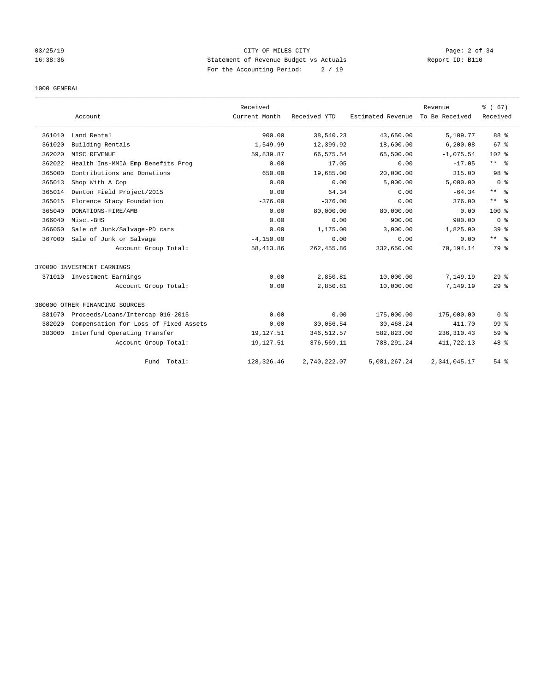# 03/25/19 Page: 2 of 34 16:38:36 Statement of Revenue Budget vs Actuals Report ID: B110 For the Accounting Period: 2 / 19

### 1000 GENERAL

|        | Account                               | Received<br>Current Month | Received YTD | Estimated Revenue | Revenue<br>To Be Received | % (67)<br>Received |
|--------|---------------------------------------|---------------------------|--------------|-------------------|---------------------------|--------------------|
| 361010 | Land Rental                           | 900.00                    | 38,540.23    | 43,650.00         | 5,109.77                  | 88 %               |
| 361020 | Building Rentals                      | 1,549.99                  | 12,399.92    | 18,600.00         | 6,200.08                  | 67 %               |
| 362020 | MISC REVENUE                          | 59,839.87                 | 66,575.54    | 65,500.00         | $-1,075.54$               | $102$ %            |
| 362022 | Health Ins-MMIA Emp Benefits Prog     | 0.00                      | 17.05        | 0.00              | $-17.05$                  | $***$ $ -$         |
| 365000 | Contributions and Donations           | 650.00                    | 19,685.00    | 20,000.00         | 315.00                    | 98 <sup>8</sup>    |
| 365013 | Shop With A Cop                       | 0.00                      | 0.00         | 5,000.00          | 5,000.00                  | 0 <sup>8</sup>     |
| 365014 | Denton Field Project/2015             | 0.00                      | 64.34        | 0.00              | $-64.34$                  | $***$ $=$          |
| 365015 | Florence Stacy Foundation             | $-376.00$                 | $-376.00$    | 0.00              | 376.00                    | $***$ $=$          |
| 365040 | DONATIONS-FIRE/AMB                    | 0.00                      | 80,000.00    | 80,000.00         | 0.00                      | $100*$             |
| 366040 | Misc.-BHS                             | 0.00                      | 0.00         | 900.00            | 900.00                    | 0 <sup>8</sup>     |
| 366050 | Sale of Junk/Salvage-PD cars          | 0.00                      | 1,175.00     | 3,000.00          | 1,825.00                  | 39 <sup>8</sup>    |
| 367000 | Sale of Junk or Salvage               | $-4, 150.00$              | 0.00         | 0.00              | 0.00                      | $***$ $ -$         |
|        | Account Group Total:                  | 58, 413.86                | 262, 455.86  | 332,650.00        | 70.194.14                 | 79 %               |
|        | 370000 INVESTMENT EARNINGS            |                           |              |                   |                           |                    |
| 371010 | Investment Earnings                   | 0.00                      | 2,850.81     | 10,000.00         | 7,149.19                  | 29 <sup>8</sup>    |
|        | Account Group Total:                  | 0.00                      | 2,850.81     | 10,000.00         | 7,149.19                  | 29 <sup>8</sup>    |
|        | 380000 OTHER FINANCING SOURCES        |                           |              |                   |                           |                    |
| 381070 | Proceeds/Loans/Intercap 016-2015      | 0.00                      | 0.00         | 175,000.00        | 175,000.00                | 0 <sup>8</sup>     |
| 382020 | Compensation for Loss of Fixed Assets | 0.00                      | 30,056.54    | 30,468.24         | 411.70                    | 99 <sup>8</sup>    |
| 383000 | Interfund Operating Transfer          | 19,127.51                 | 346, 512.57  | 582,823.00        | 236, 310.43               | 59 <sup>8</sup>    |
|        | Account Group Total:                  | 19,127.51                 | 376,569.11   | 788,291.24        | 411,722.13                | 48 %               |
|        | Fund Total:                           | 128,326.46                | 2,740,222.07 | 5,081,267.24      | 2,341,045.17              | 54 %               |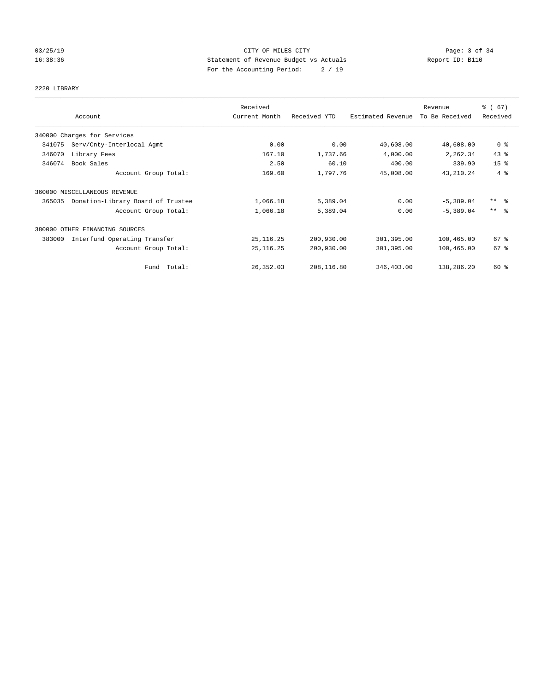# 03/25/19 Page: 3 of 34 16:38:36 Statement of Revenue Budget vs Actuals Report ID: B110 For the Accounting Period: 2 / 19

# 2220 LIBRARY

|        |                                   | Received      |              |                   | Revenue        | % (67)              |
|--------|-----------------------------------|---------------|--------------|-------------------|----------------|---------------------|
|        | Account                           | Current Month | Received YTD | Estimated Revenue | To Be Received | Received            |
|        | 340000 Charges for Services       |               |              |                   |                |                     |
| 341075 | Serv/Cnty-Interlocal Agmt         | 0.00          | 0.00         | 40,608.00         | 40,608.00      | 0 <sup>8</sup>      |
| 346070 | Library Fees                      | 167.10        | 1,737.66     | 4,000.00          | 2,262.34       | 43%                 |
| 346074 | Book Sales                        | 2.50          | 60.10        | 400.00            | 339.90         | 15 <sup>8</sup>     |
|        | Account Group Total:              | 169.60        | 1,797.76     | 45,008.00         | 43, 210.24     | 4%                  |
|        | 360000 MISCELLANEOUS REVENUE      |               |              |                   |                |                     |
| 365035 | Donation-Library Board of Trustee | 1,066.18      | 5,389.04     | 0.00              | $-5,389.04$    | $***$ $\frac{6}{5}$ |
|        | Account Group Total:              | 1,066.18      | 5,389.04     | 0.00              | $-5.389.04$    | $***$ $\approx$     |
|        | 380000 OTHER FINANCING SOURCES    |               |              |                   |                |                     |
| 383000 | Interfund Operating Transfer      | 25, 116.25    | 200,930.00   | 301,395.00        | 100,465.00     | $67$ %              |
|        | Account Group Total:              | 25, 116.25    | 200,930.00   | 301,395.00        | 100,465.00     | 67%                 |
|        | Fund Total:                       | 26, 352.03    | 208,116.80   | 346,403.00        | 138,286.20     | 60 %                |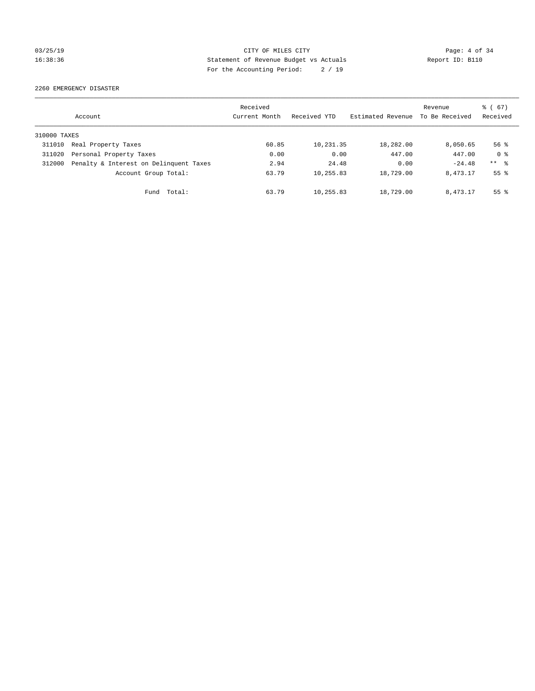# 03/25/19 Page: 4 of 34 16:38:36 Statement of Revenue Budget vs Actuals Report ID: B110 For the Accounting Period: 2 / 19

2260 EMERGENCY DISASTER

|              | Account                                | Received<br>Current Month | Received YTD | Estimated Revenue | Revenue<br>To Be Received | $\frac{6}{6}$ (67)<br>Received |
|--------------|----------------------------------------|---------------------------|--------------|-------------------|---------------------------|--------------------------------|
| 310000 TAXES |                                        |                           |              |                   |                           |                                |
| 311010       | Real Property Taxes                    | 60.85                     | 10,231.35    | 18,282.00         | 8,050.65                  | $56$ $\frac{6}{3}$             |
| 311020       | Personal Property Taxes                | 0.00                      | 0.00         | 447.00            | 447.00                    | 0 <sup>8</sup>                 |
| 312000       | Penalty & Interest on Delinquent Taxes | 2.94                      | 24.48        | 0.00              | $-24.48$                  | $***$ $ -$                     |
|              | Account Group Total:                   | 63.79                     | 10,255.83    | 18,729.00         | 8, 473. 17                | 55 <sup>°</sup>                |
|              | Fund Total:                            | 63.79                     | 10,255.83    | 18,729.00         | 8, 473. 17                | 55 <sup>8</sup>                |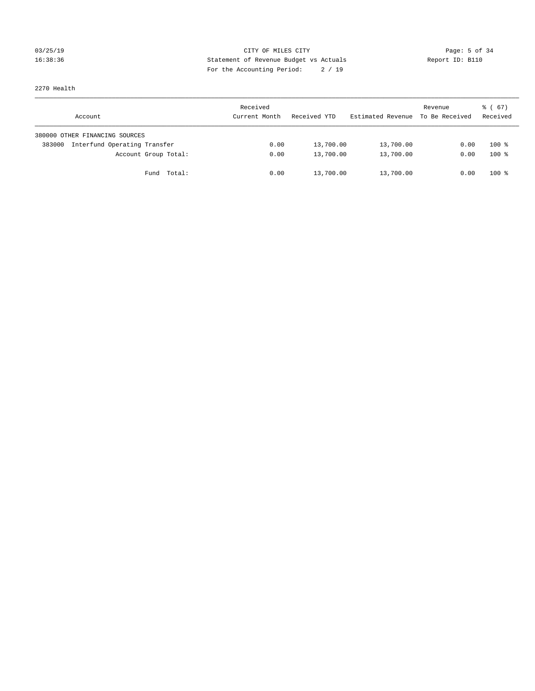# 03/25/19 Page: 5 of 34 16:38:36 Statement of Revenue Budget vs Actuals Report ID: B110 For the Accounting Period: 2 / 19

2270 Health

| Account                                | Received<br>Current Month | Received YTD | Estimated Revenue | Revenue<br>To Be Received | 8 ( 67 )<br>Received |
|----------------------------------------|---------------------------|--------------|-------------------|---------------------------|----------------------|
| 380000 OTHER FINANCING SOURCES         |                           |              |                   |                           |                      |
| Interfund Operating Transfer<br>383000 | 0.00                      | 13,700.00    | 13,700.00         | 0.00                      | $100*$               |
| Account Group Total:                   | 0.00                      | 13,700.00    | 13,700.00         | 0.00                      | $100*$               |
| Fund Total:                            | 0.00                      | 13,700.00    | 13,700.00         | 0.00                      | $100*$               |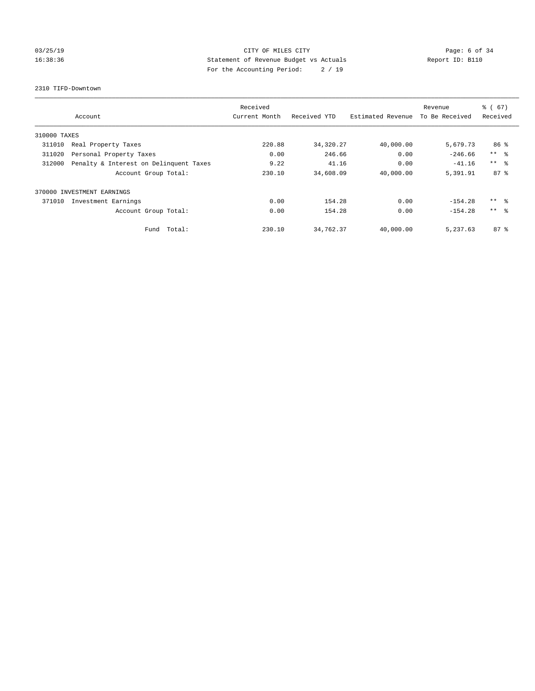# 03/25/19 Page: 6 of 34 16:38:36 Statement of Revenue Budget vs Actuals Report ID: B110 For the Accounting Period: 2 / 19

### 2310 TIFD-Downtown

|              |                                        | Received      |              |                   | Revenue        | % (67)          |
|--------------|----------------------------------------|---------------|--------------|-------------------|----------------|-----------------|
|              | Account                                | Current Month | Received YTD | Estimated Revenue | To Be Received | Received        |
| 310000 TAXES |                                        |               |              |                   |                |                 |
| 311010       | Real Property Taxes                    | 220.88        | 34, 320.27   | 40,000.00         | 5,679.73       | 86 %            |
| 311020       | Personal Property Taxes                | 0.00          | 246.66       | 0.00              | $-246.66$      | $***$ $\approx$ |
| 312000       | Penalty & Interest on Delinquent Taxes | 9.22          | 41.16        | 0.00              | $-41.16$       | $***$ $\approx$ |
|              | Account Group Total:                   | 230.10        | 34,608.09    | 40,000.00         | 5,391.91       | $87 - 8$        |
|              | 370000 INVESTMENT EARNINGS             |               |              |                   |                |                 |
| 371010       | Investment Earnings                    | 0.00          | 154.28       | 0.00              | $-154.28$      | ** 왕            |
|              | Account Group Total:                   | 0.00          | 154.28       | 0.00              | $-154.28$      | $***$ $\approx$ |
|              | Total:<br>Fund                         | 230.10        | 34,762.37    | 40,000.00         | 5,237.63       | $87 - 8$        |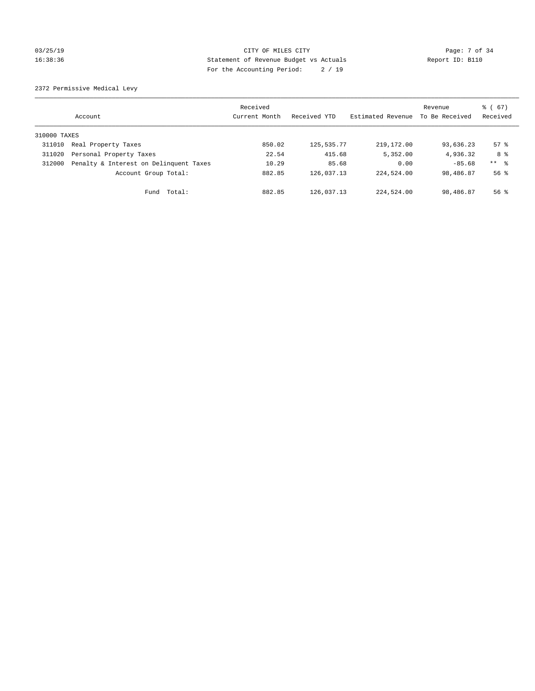# 03/25/19 Page: 7 of 34 16:38:36 Statement of Revenue Budget vs Actuals Report ID: B110 For the Accounting Period: 2 / 19

2372 Permissive Medical Levy

|              | Account                                | Received<br>Current Month | Received YTD | Estimated Revenue | Revenue<br>To Be Received | $\frac{1}{6}$ (67)<br>Received |
|--------------|----------------------------------------|---------------------------|--------------|-------------------|---------------------------|--------------------------------|
| 310000 TAXES |                                        |                           |              |                   |                           |                                |
| 311010       | Real Property Taxes                    | 850.02                    | 125, 535. 77 | 219, 172, 00      | 93,636.23                 | 57%                            |
| 311020       | Personal Property Taxes                | 22.54                     | 415.68       | 5,352.00          | 4,936.32                  | 8 %                            |
| 312000       | Penalty & Interest on Delinquent Taxes | 10.29                     | 85.68        | 0.00              | $-85.68$                  | $***$ $\frac{6}{5}$            |
|              | Account Group Total:                   | 882.85                    | 126,037.13   | 224,524.00        | 98,486.87                 | $56$ $\frac{6}{3}$             |
|              | Fund Total:                            | 882.85                    | 126,037.13   | 224,524.00        | 98,486.87                 | $56$ $\frac{6}{3}$             |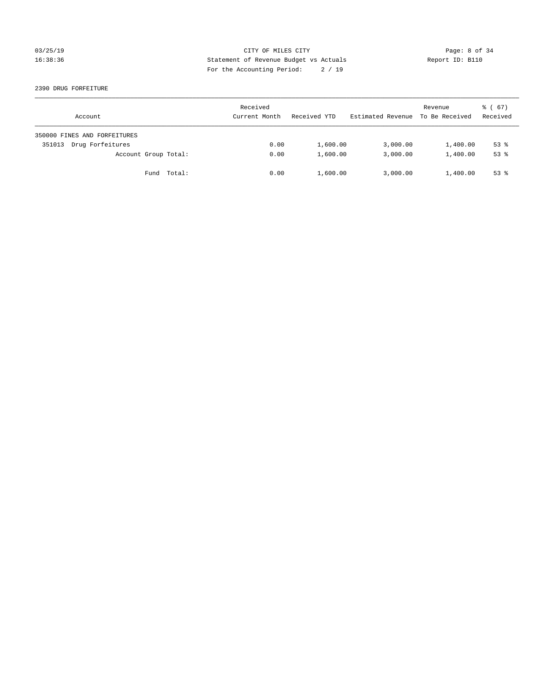# 03/25/19 CITY OF MILES CITY Page: 8 of 34 16:38:36 Statement of Revenue Budget vs Actuals Report ID: B110 For the Accounting Period: 2 / 19

2390 DRUG FORFEITURE

| Account                      | Received<br>Current Month | Received YTD | Estimated Revenue | Revenue<br>To Be Received | 8 ( 67 )<br>Received |
|------------------------------|---------------------------|--------------|-------------------|---------------------------|----------------------|
| 350000 FINES AND FORFEITURES |                           |              |                   |                           |                      |
| Drug Forfeitures<br>351013   | 0.00                      | 1,600.00     | 3,000.00          | 1,400.00                  | $53$ $%$             |
| Account Group Total:         | 0.00                      | 1,600.00     | 3,000.00          | 1,400.00                  | $53$ $%$             |
| Fund Total:                  | 0.00                      | 1,600.00     | 3,000.00          | 1,400.00                  | $53$ $%$             |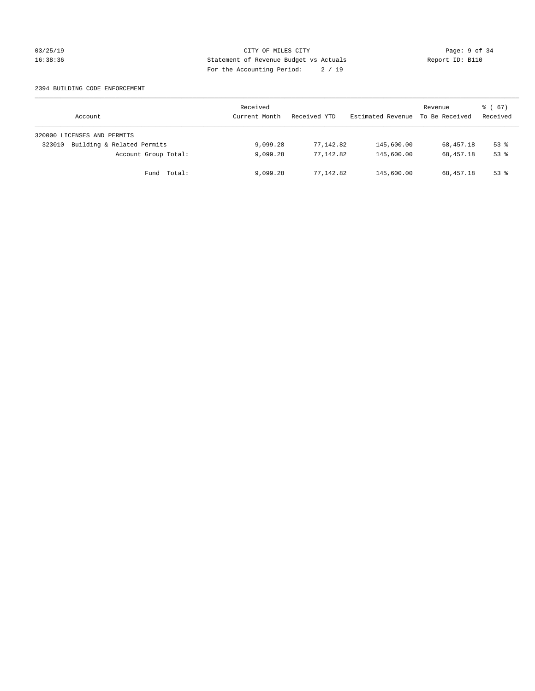# 03/25/19 CITY OF MILES CITY Page: 9 of 34 16:38:36 Statement of Revenue Budget vs Actuals Report ID: B110 For the Accounting Period: 2 / 19

### 2394 BUILDING CODE ENFORCEMENT

| Account                              | Received<br>Current Month | Received YTD | Estimated Revenue | Revenue<br>To Be Received | 8 ( 67 )<br>Received |
|--------------------------------------|---------------------------|--------------|-------------------|---------------------------|----------------------|
| 320000 LICENSES AND PERMITS          |                           |              |                   |                           |                      |
| Building & Related Permits<br>323010 | 9,099.28                  | 77,142.82    | 145,600.00        | 68,457.18                 | $53$ $%$             |
| Account Group Total:                 | 9,099.28                  | 77,142.82    | 145,600.00        | 68,457.18                 | $53$ $%$             |
| Fund Total:                          | 9,099.28                  | 77,142.82    | 145,600.00        | 68,457.18                 | $53$ $%$             |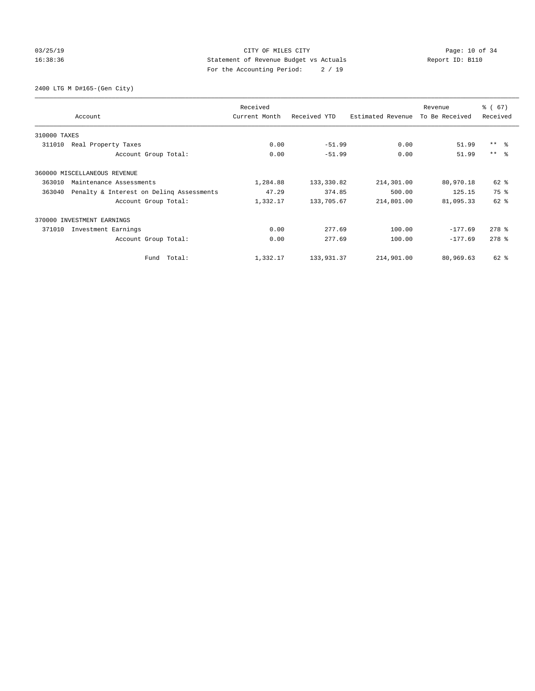# 03/25/19 Page: 10 of 34 16:38:36 Statement of Revenue Budget vs Actuals Report ID: B110 For the Accounting Period: 2 / 19

2400 LTG M D#165-(Gen City)

|              | Account                                  | Received<br>Current Month | Received YTD | Estimated Revenue | Revenue<br>To Be Received | % (67)<br>Received  |
|--------------|------------------------------------------|---------------------------|--------------|-------------------|---------------------------|---------------------|
| 310000 TAXES |                                          |                           |              |                   |                           |                     |
| 311010       | Real Property Taxes                      | 0.00                      | $-51.99$     | 0.00              | 51.99                     | $***$ $ -$          |
|              | Account Group Total:                     | 0.00                      | $-51.99$     | 0.00              | 51.99                     | $***$ $\approx$     |
|              | 360000 MISCELLANEOUS REVENUE             |                           |              |                   |                           |                     |
| 363010       | Maintenance Assessments                  | 1,284.88                  | 133,330.82   | 214,301.00        | 80,970.18                 | $62*$               |
| 363040       | Penalty & Interest on Deling Assessments | 47.29                     | 374.85       | 500.00            | 125.15                    | 75%                 |
|              | Account Group Total:                     | 1,332.17                  | 133,705.67   | 214,801.00        | 81,095.33                 | $62$ $%$            |
|              | 370000 INVESTMENT EARNINGS               |                           |              |                   |                           |                     |
| 371010       | Investment Earnings                      | 0.00                      | 277.69       | 100.00            | $-177.69$                 | $278$ $%$           |
|              | Account Group Total:                     | 0.00                      | 277.69       | 100.00            | $-177.69$                 | $278$ $\frac{6}{5}$ |
|              | Total:<br>Fund                           | 1,332.17                  | 133,931.37   | 214,901.00        | 80,969.63                 | 62 %                |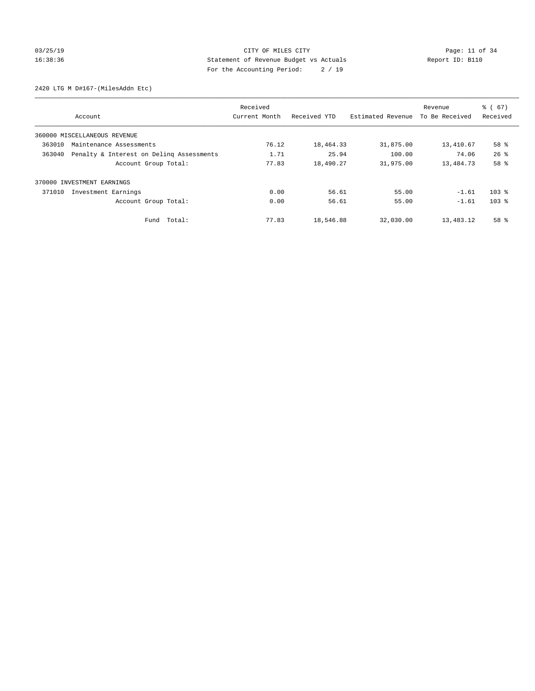# 03/25/19 Page: 11 of 34 16:38:36 Statement of Revenue Budget vs Actuals Report ID: B110 For the Accounting Period: 2 / 19

2420 LTG M D#167-(MilesAddn Etc)

|        |                                          | Received      |              |                   | Revenue        | $\frac{6}{6}$ (67) |
|--------|------------------------------------------|---------------|--------------|-------------------|----------------|--------------------|
|        | Account                                  | Current Month | Received YTD | Estimated Revenue | To Be Received | Received           |
|        | 360000 MISCELLANEOUS REVENUE             |               |              |                   |                |                    |
| 363010 | Maintenance Assessments                  | 76.12         | 18,464.33    | 31,875.00         | 13,410.67      | 58 %               |
| 363040 | Penalty & Interest on Deling Assessments | 1.71          | 25.94        | 100.00            | 74.06          | $26$ $\frac{6}{3}$ |
|        | Account Group Total:                     | 77.83         | 18,490.27    | 31,975.00         | 13,484.73      | 58 %               |
|        | 370000 INVESTMENT EARNINGS               |               |              |                   |                |                    |
| 371010 | Investment Earnings                      | 0.00          | 56.61        | 55.00             | $-1.61$        | $103$ %            |
|        | Account Group Total:                     | 0.00          | 56.61        | 55.00             | $-1.61$        | $103$ %            |
|        | Fund Total:                              | 77.83         | 18,546.88    | 32,030.00         | 13,483.12      | 58 %               |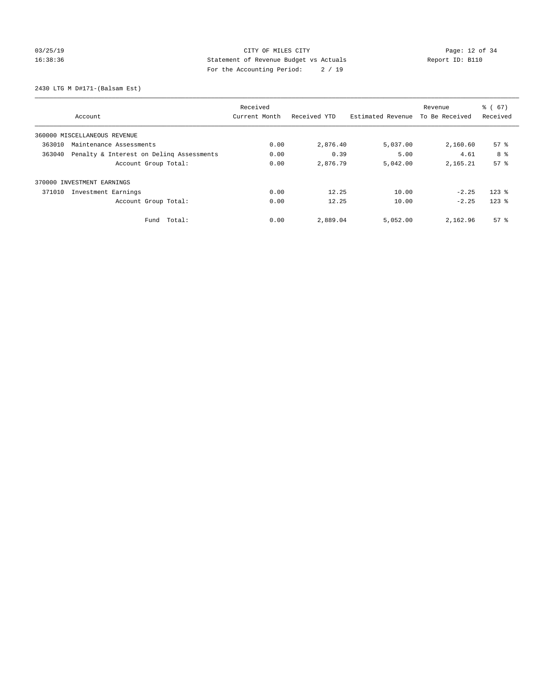# 03/25/19 Page: 12 of 34 16:38:36 Statement of Revenue Budget vs Actuals Report ID: B110 For the Accounting Period: 2 / 19

2430 LTG M D#171-(Balsam Est)

|                                                    | Received      |              |                   | Revenue        | $\frac{6}{6}$ (67) |
|----------------------------------------------------|---------------|--------------|-------------------|----------------|--------------------|
| Account                                            | Current Month | Received YTD | Estimated Revenue | To Be Received | Received           |
| 360000 MISCELLANEOUS REVENUE                       |               |              |                   |                |                    |
| 363010<br>Maintenance Assessments                  | 0.00          | 2,876.40     | 5,037.00          | 2,160.60       | 57 <sup>8</sup>    |
| 363040<br>Penalty & Interest on Deling Assessments | 0.00          | 0.39         | 5.00              | 4.61           | 8 %                |
| Account Group Total:                               | 0.00          | 2,876.79     | 5,042.00          | 2, 165.21      | 57 <sup>8</sup>    |
| 370000 INVESTMENT EARNINGS                         |               |              |                   |                |                    |
| Investment Earnings<br>371010                      | 0.00          | 12.25        | 10.00             | $-2.25$        | $123$ $%$          |
| Account Group Total:                               | 0.00          | 12.25        | 10.00             | $-2.25$        | $123$ $%$          |
| Total:<br>Fund                                     | 0.00          | 2,889.04     | 5,052.00          | 2,162.96       | 57 <sup>8</sup>    |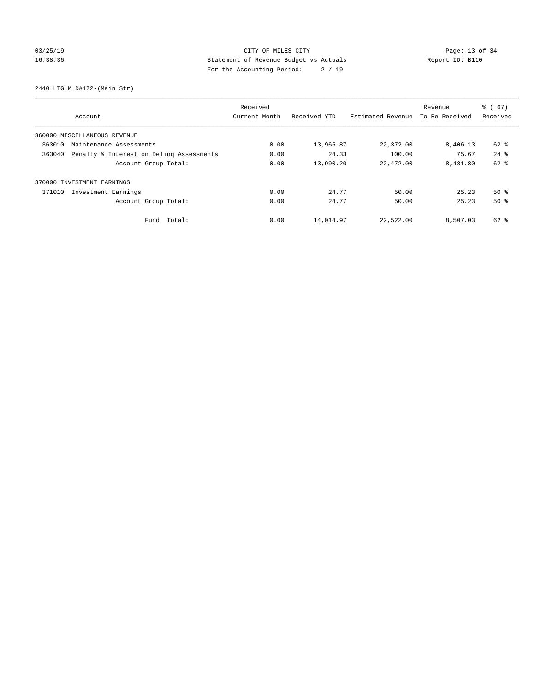# 03/25/19 Page: 13 of 34 16:38:36 Statement of Revenue Budget vs Actuals Report ID: B110 For the Accounting Period: 2 / 19

2440 LTG M D#172-(Main Str)

|                                                    | Received      |              |                   | Revenue        | $\frac{6}{6}$ (67) |
|----------------------------------------------------|---------------|--------------|-------------------|----------------|--------------------|
| Account                                            | Current Month | Received YTD | Estimated Revenue | To Be Received | Received           |
| 360000 MISCELLANEOUS REVENUE                       |               |              |                   |                |                    |
| 363010<br>Maintenance Assessments                  | 0.00          | 13,965.87    | 22,372.00         | 8,406.13       | 62 %               |
| 363040<br>Penalty & Interest on Deling Assessments | 0.00          | 24.33        | 100.00            | 75.67          | $24$ $%$           |
| Account Group Total:                               | 0.00          | 13,990.20    | 22,472.00         | 8,481.80       | $62$ $%$           |
| 370000 INVESTMENT EARNINGS                         |               |              |                   |                |                    |
| 371010<br>Investment Earnings                      | 0.00          | 24.77        | 50.00             | 25.23          | $50*$              |
| Account Group Total:                               | 0.00          | 24.77        | 50.00             | 25.23          | $50*$              |
| Total:<br>Fund                                     | 0.00          | 14,014.97    | 22,522.00         | 8,507.03       | 62 %               |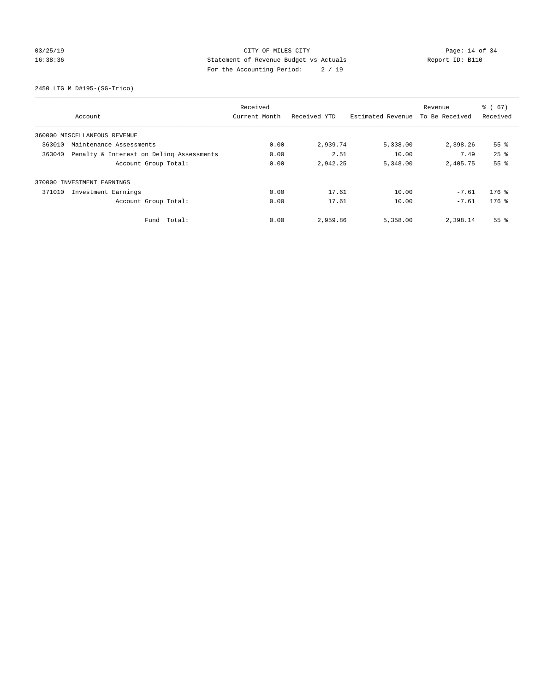# 03/25/19 Page: 14 of 34 16:38:36 Statement of Revenue Budget vs Actuals Report ID: B110 For the Accounting Period: 2 / 19

2450 LTG M D#195-(SG-Trico)

|                               |                                          | Received      |              |                   | Revenue        | $\frac{6}{6}$ (67) |
|-------------------------------|------------------------------------------|---------------|--------------|-------------------|----------------|--------------------|
| Account                       |                                          | Current Month | Received YTD | Estimated Revenue | To Be Received | Received           |
| 360000 MISCELLANEOUS REVENUE  |                                          |               |              |                   |                |                    |
| 363010                        | Maintenance Assessments                  | 0.00          | 2,939.74     | 5,338.00          | 2,398.26       | 55 <sup>8</sup>    |
| 363040                        | Penalty & Interest on Deling Assessments | 0.00          | 2.51         | 10.00             | 7.49           | $25$ $%$           |
|                               | Account Group Total:                     | 0.00          | 2,942.25     | 5,348.00          | 2,405.75       | 55%                |
| 370000 INVESTMENT EARNINGS    |                                          |               |              |                   |                |                    |
| 371010<br>Investment Earnings |                                          | 0.00          | 17.61        | 10.00             | $-7.61$        | $176$ %            |
|                               | Account Group Total:                     | 0.00          | 17.61        | 10.00             | $-7.61$        | $176$ %            |
|                               | Fund Total:                              | 0.00          | 2,959.86     | 5,358.00          | 2,398.14       | 55 <sup>8</sup>    |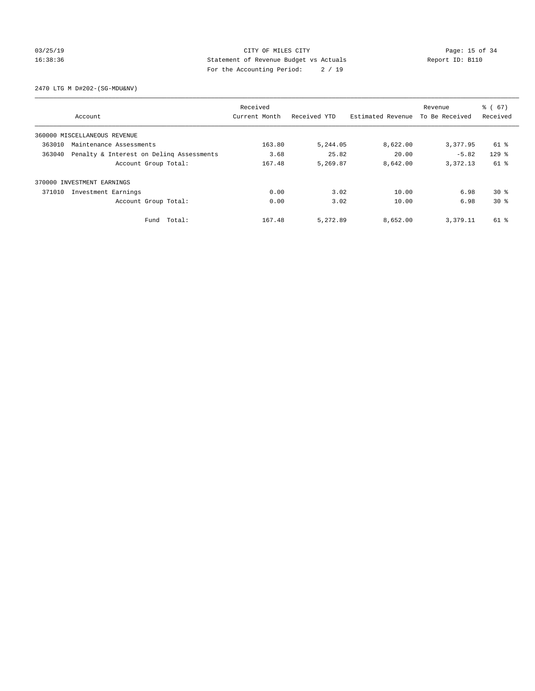# 03/25/19 Page: 15 of 34 16:38:36 Statement of Revenue Budget vs Actuals Report ID: B110 For the Accounting Period: 2 / 19

2470 LTG M D#202-(SG-MDU&NV)

|        |                                          | Received      |              |                   | Revenue        | $\frac{6}{6}$ (67) |
|--------|------------------------------------------|---------------|--------------|-------------------|----------------|--------------------|
|        | Account                                  | Current Month | Received YTD | Estimated Revenue | To Be Received | Received           |
|        | 360000 MISCELLANEOUS REVENUE             |               |              |                   |                |                    |
| 363010 | Maintenance Assessments                  | 163.80        | 5,244.05     | 8,622.00          | 3,377.95       | 61 %               |
| 363040 | Penalty & Interest on Deling Assessments | 3.68          | 25.82        | 20.00             | $-5.82$        | $129$ $%$          |
|        | Account Group Total:                     | 167.48        | 5,269.87     | 8,642.00          | 3,372.13       | 61 %               |
|        | 370000 INVESTMENT EARNINGS               |               |              |                   |                |                    |
| 371010 | Investment Earnings                      | 0.00          | 3.02         | 10.00             | 6.98           | $30*$              |
|        | Account Group Total:                     | 0.00          | 3.02         | 10.00             | 6.98           | $30*$              |
|        | Fund Total:                              | 167.48        | 5,272.89     | 8,652.00          | 3,379.11       | 61 %               |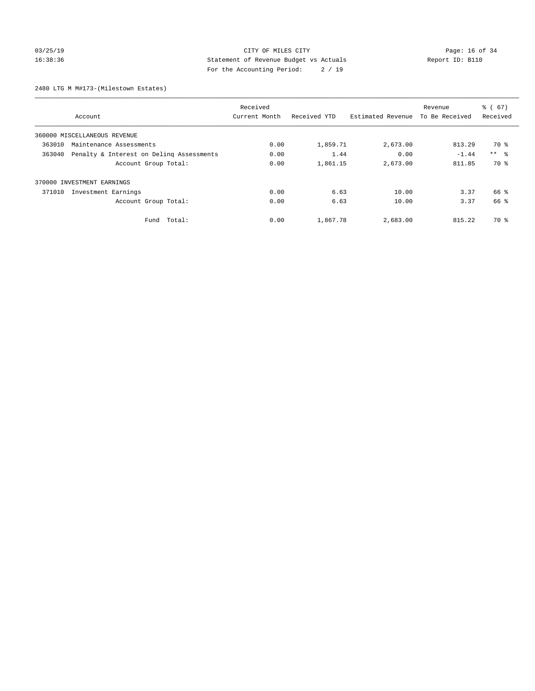# 03/25/19 Page: 16 of 34 16:38:36 Statement of Revenue Budget vs Actuals Report ID: B110 For the Accounting Period: 2 / 19

2480 LTG M M#173-(Milestown Estates)

|        |                                          | Received      |              | $\frac{6}{6}$ (67)<br>Revenue |                |            |
|--------|------------------------------------------|---------------|--------------|-------------------------------|----------------|------------|
|        | Account                                  | Current Month | Received YTD | Estimated Revenue             | To Be Received | Received   |
|        | 360000 MISCELLANEOUS REVENUE             |               |              |                               |                |            |
| 363010 | Maintenance Assessments                  | 0.00          | 1,859.71     | 2,673.00                      | 813.29         | 70 %       |
| 363040 | Penalty & Interest on Deling Assessments | 0.00          | 1.44         | 0.00                          | $-1.44$        | $***$ $ -$ |
|        | Account Group Total:                     | 0.00          | 1,861.15     | 2,673.00                      | 811.85         | 70 %       |
|        | 370000 INVESTMENT EARNINGS               |               |              |                               |                |            |
| 371010 | Investment Earnings                      | 0.00          | 6.63         | 10.00                         | 3.37           | 66 %       |
|        | Account Group Total:                     | 0.00          | 6.63         | 10.00                         | 3.37           | 66 %       |
|        | Total:<br>Fund                           | 0.00          | 1,867.78     | 2,683.00                      | 815.22         | 70 %       |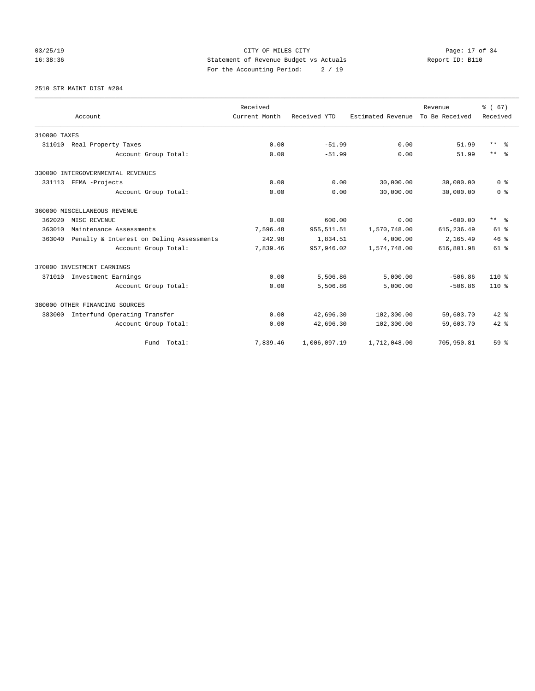# 03/25/19 Page: 17 of 34 16:38:36 Statement of Revenue Budget vs Actuals Report ID: B110 For the Accounting Period: 2 / 19

2510 STR MAINT DIST #204

|              |                                          | Received      |              |                   | Revenue        | % (67)          |
|--------------|------------------------------------------|---------------|--------------|-------------------|----------------|-----------------|
|              | Account                                  | Current Month | Received YTD | Estimated Revenue | To Be Received | Received        |
| 310000 TAXES |                                          |               |              |                   |                |                 |
| 311010       | Real Property Taxes                      | 0.00          | $-51.99$     | 0.00              | 51.99          | $***$ $\approx$ |
|              | Account Group Total:                     | 0.00          | $-51.99$     | 0.00              | 51.99          | $***$ $=$       |
|              | 330000 INTERGOVERNMENTAL REVENUES        |               |              |                   |                |                 |
|              | 331113 FEMA -Projects                    | 0.00          | 0.00         | 30,000.00         | 30,000.00      | 0 <sup>8</sup>  |
|              | Account Group Total:                     | 0.00          | 0.00         | 30,000.00         | 30,000.00      | 0 <sup>8</sup>  |
|              | 360000 MISCELLANEOUS REVENUE             |               |              |                   |                |                 |
| 362020       | MISC REVENUE                             | 0.00          | 600.00       | 0.00              | $-600.00$      | $***$ $\approx$ |
| 363010       | Maintenance Assessments                  | 7,596.48      | 955, 511.51  | 1,570,748.00      | 615, 236.49    | $61$ $%$        |
| 363040       | Penalty & Interest on Deling Assessments | 242.98        | 1,834.51     | 4,000.00          | 2,165.49       | 46%             |
|              | Account Group Total:                     | 7,839.46      | 957,946.02   | 1,574,748.00      | 616,801.98     | $61$ $%$        |
|              | 370000 INVESTMENT EARNINGS               |               |              |                   |                |                 |
| 371010       | Investment Earnings                      | 0.00          | 5,506.86     | 5,000.00          | $-506.86$      | 110 %           |
|              | Account Group Total:                     | 0.00          | 5,506.86     | 5,000.00          | $-506.86$      | $110*$          |
|              | 380000 OTHER FINANCING SOURCES           |               |              |                   |                |                 |
| 383000       | Interfund Operating Transfer             | 0.00          | 42,696.30    | 102,300.00        | 59,603.70      | $42*$           |
|              | Account Group Total:                     | 0.00          | 42,696.30    | 102,300.00        | 59,603.70      | $42$ %          |
|              | Fund Total:                              | 7.839.46      | 1,006,097.19 | 1,712,048.00      | 705,950.81     | 59 %            |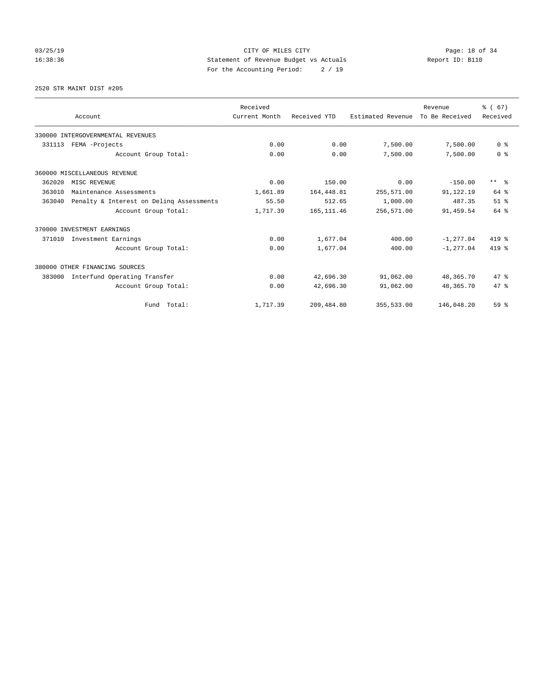# 03/25/19 Page: 18 of 34 16:38:36 Statement of Revenue Budget vs Actuals Report ID: B110 For the Accounting Period: 2 / 19

2520 STR MAINT DIST #205

|        |                                          | Received      |              |                   | Revenue        | % (67)          |
|--------|------------------------------------------|---------------|--------------|-------------------|----------------|-----------------|
|        | Account                                  | Current Month | Received YTD | Estimated Revenue | To Be Received | Received        |
|        | 330000 INTERGOVERNMENTAL REVENUES        |               |              |                   |                |                 |
| 331113 | FEMA -Projects                           | 0.00          | 0.00         | 7,500.00          | 7,500.00       | 0 <sup>8</sup>  |
|        | Account Group Total:                     | 0.00          | 0.00         | 7,500.00          | 7,500.00       | 0 <sup>8</sup>  |
|        | 360000 MISCELLANEOUS REVENUE             |               |              |                   |                |                 |
| 362020 | MISC REVENUE                             | 0.00          | 150.00       | 0.00              | $-150.00$      | $***$ $\approx$ |
| 363010 | Maintenance Assessments                  | 1,661.89      | 164,448.81   | 255,571.00        | 91,122.19      | $64$ $%$        |
| 363040 | Penalty & Interest on Deling Assessments | 55.50         | 512.65       | 1,000.00          | 487.35         | $51$ $%$        |
|        | Account Group Total:                     | 1,717.39      | 165, 111.46  | 256,571.00        | 91,459.54      | 64 %            |
|        | 370000 INVESTMENT EARNINGS               |               |              |                   |                |                 |
| 371010 | Investment Earnings                      | 0.00          | 1,677.04     | 400.00            | $-1.277.04$    | 419 %           |
|        | Account Group Total:                     | 0.00          | 1,677.04     | 400.00            | $-1, 277.04$   | 419 %           |
|        | 380000 OTHER FINANCING SOURCES           |               |              |                   |                |                 |
| 383000 | Interfund Operating Transfer             | 0.00          | 42,696.30    | 91,062.00         | 48,365.70      | 47.8            |
|        | Account Group Total:                     | 0.00          | 42,696.30    | 91,062.00         | 48,365.70      | 47.8            |
|        | Fund Total:                              | 1,717.39      | 209,484.80   | 355,533.00        | 146,048.20     | 59%             |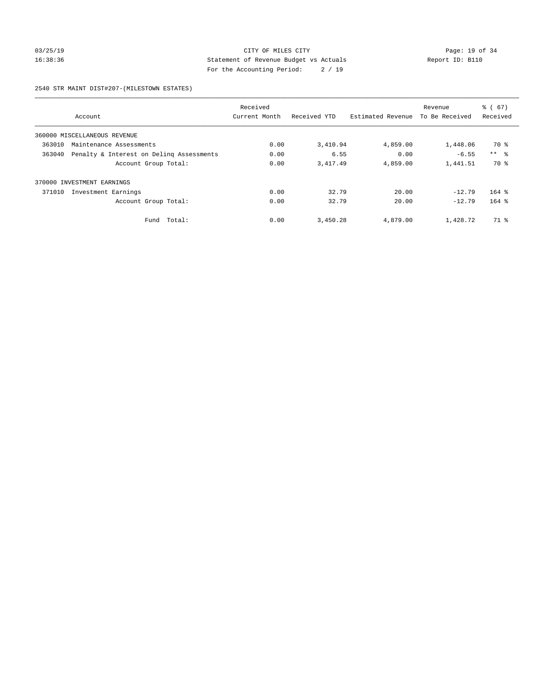# 03/25/19 Page: 19 of 34 16:38:36 Statement of Revenue Budget vs Actuals Report ID: B110 For the Accounting Period: 2 / 19

2540 STR MAINT DIST#207-(MILESTOWN ESTATES)

|        |                                          | Received      |              |                   | Revenue        | $\frac{6}{6}$ (67) |
|--------|------------------------------------------|---------------|--------------|-------------------|----------------|--------------------|
|        | Account                                  | Current Month | Received YTD | Estimated Revenue | To Be Received | Received           |
|        | 360000 MISCELLANEOUS REVENUE             |               |              |                   |                |                    |
| 363010 | Maintenance Assessments                  | 0.00          | 3,410.94     | 4,859.00          | 1,448.06       | 70 %               |
| 363040 | Penalty & Interest on Deling Assessments | 0.00          | 6.55         | 0.00              | $-6.55$        | $***$ $\approx$    |
|        | Account Group Total:                     | 0.00          | 3,417.49     | 4,859.00          | 1,441.51       | 70 %               |
|        | 370000 INVESTMENT EARNINGS               |               |              |                   |                |                    |
| 371010 | Investment Earnings                      | 0.00          | 32.79        | 20.00             | $-12.79$       | $164$ %            |
|        | Account Group Total:                     | 0.00          | 32.79        | 20.00             | $-12.79$       | $164$ %            |
|        | Total:<br>Fund                           | 0.00          | 3,450.28     | 4,879.00          | 1,428.72       | 71 %               |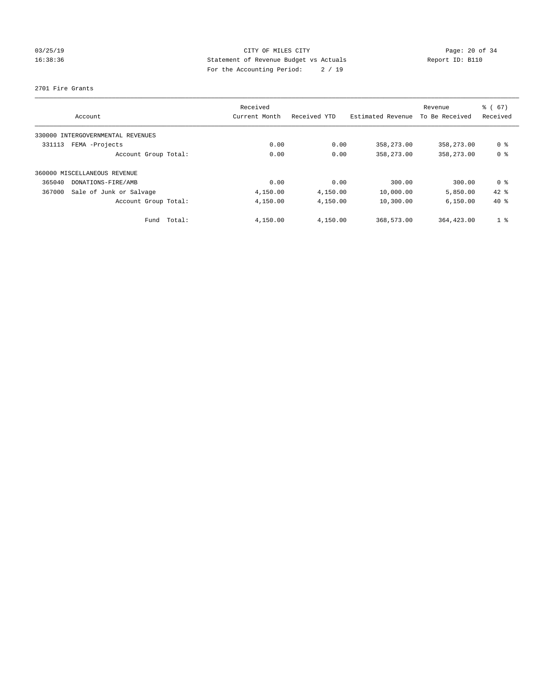# 03/25/19 Page: 20 of 34 16:38:36 Statement of Revenue Budget vs Actuals Report ID: B110 For the Accounting Period: 2 / 19

### 2701 Fire Grants

| Account                           | Received<br>Current Month | Received YTD | Estimated Revenue | Revenue<br>To Be Received | % (67)<br>Received |
|-----------------------------------|---------------------------|--------------|-------------------|---------------------------|--------------------|
| 330000 INTERGOVERNMENTAL REVENUES |                           |              |                   |                           |                    |
| FEMA -Projects<br>331113          | 0.00                      | 0.00         | 358,273.00        | 358,273.00                | 0 <sup>8</sup>     |
| Account Group Total:              | 0.00                      | 0.00         | 358,273.00        | 358,273.00                | 0 <sup>8</sup>     |
| 360000 MISCELLANEOUS REVENUE      |                           |              |                   |                           |                    |
| 365040<br>DONATIONS-FIRE/AMB      | 0.00                      | 0.00         | 300.00            | 300.00                    | 0 ક                |
| 367000<br>Sale of Junk or Salvage | 4,150.00                  | 4,150.00     | 10,000.00         | 5,850.00                  | $42$ %             |
| Account Group Total:              | 4,150.00                  | 4,150.00     | 10,300.00         | 6.150.00                  | $40*$              |
| Total:<br>Fund                    | 4,150.00                  | 4,150.00     | 368,573.00        | 364, 423, 00              | 1 <sup>8</sup>     |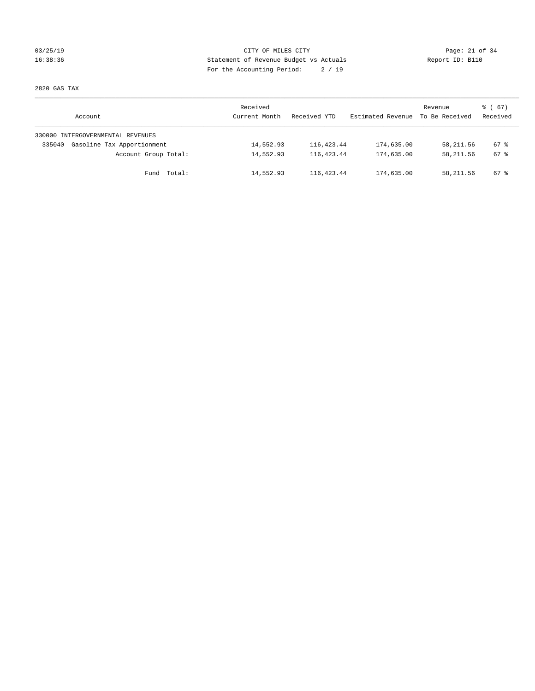# 03/25/19 Page: 21 of 34 16:38:36 Statement of Revenue Budget vs Actuals Report ID: B110 For the Accounting Period: 2 / 19

2820 GAS TAX

| Account                              | Received<br>Current Month | Received YTD | Estimated Revenue | Revenue<br>To Be Received | 8 ( 67 )<br>Received |
|--------------------------------------|---------------------------|--------------|-------------------|---------------------------|----------------------|
| 330000 INTERGOVERNMENTAL REVENUES    |                           |              |                   |                           |                      |
| Gasoline Tax Apportionment<br>335040 | 14,552.93                 | 116,423.44   | 174,635.00        | 58,211.56                 | 67 %                 |
| Account Group Total:                 | 14,552.93                 | 116, 423. 44 | 174,635.00        | 58, 211.56                | 67 %                 |
| Fund Total:                          | 14,552.93                 | 116, 423. 44 | 174,635.00        | 58, 211.56                | 67 %                 |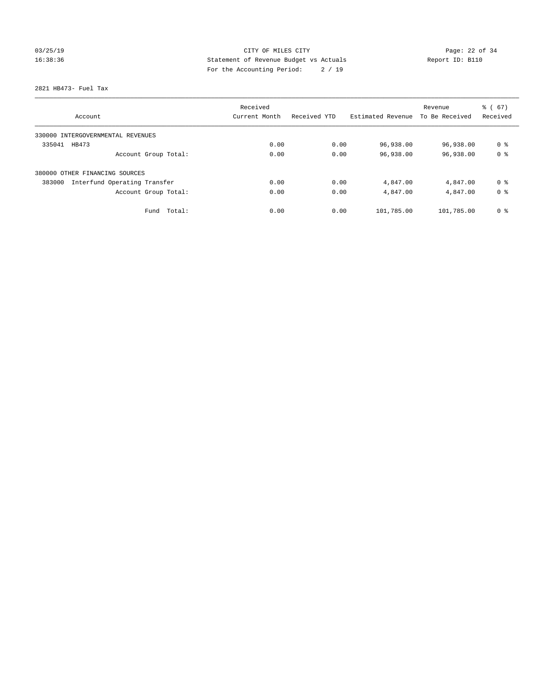# 03/25/19 Page: 22 of 34 16:38:36 Statement of Revenue Budget vs Actuals Report ID: B110 For the Accounting Period: 2 / 19

2821 HB473- Fuel Tax

|                                        | Received      |              |                   | Revenue        | % (67)         |
|----------------------------------------|---------------|--------------|-------------------|----------------|----------------|
| Account                                | Current Month | Received YTD | Estimated Revenue | To Be Received | Received       |
| 330000 INTERGOVERNMENTAL REVENUES      |               |              |                   |                |                |
| 335041<br>HB473                        | 0.00          | 0.00         | 96,938.00         | 96,938.00      | 0 <sup>8</sup> |
| Account Group Total:                   | 0.00          | 0.00         | 96,938.00         | 96,938.00      | 0 <sup>8</sup> |
| 380000 OTHER FINANCING SOURCES         |               |              |                   |                |                |
| Interfund Operating Transfer<br>383000 | 0.00          | 0.00         | 4,847.00          | 4,847.00       | 0 ક            |
| Account Group Total:                   | 0.00          | 0.00         | 4,847.00          | 4,847.00       | 0 <sup>8</sup> |
| Total:<br>Fund                         | 0.00          | 0.00         | 101,785.00        | 101,785.00     | 0 <sup>8</sup> |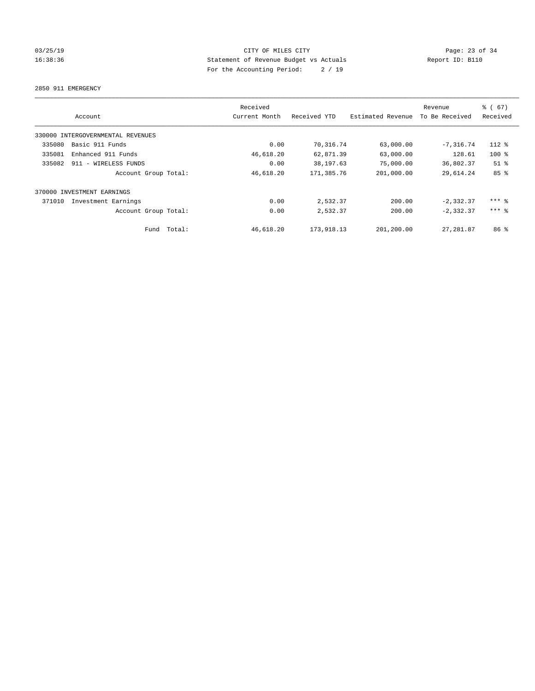# 03/25/19 Page: 23 of 34 16:38:36 Statement of Revenue Budget vs Actuals Report ID: B110 For the Accounting Period: 2 / 19

2850 911 EMERGENCY

|        | Account                           |             | Received<br>Current Month | Received YTD | Estimated Revenue | Revenue<br>To Be Received | % (67)<br>Received  |
|--------|-----------------------------------|-------------|---------------------------|--------------|-------------------|---------------------------|---------------------|
|        | 330000 INTERGOVERNMENTAL REVENUES |             |                           |              |                   |                           |                     |
| 335080 | Basic 911 Funds                   |             | 0.00                      | 70,316.74    | 63,000.00         | $-7,316.74$               | 112 %               |
| 335081 | Enhanced 911 Funds                |             | 46,618.20                 | 62,871.39    | 63,000.00         | 128.61                    | $100$ %             |
| 335082 | 911 - WIRELESS FUNDS              |             | 0.00                      | 38,197.63    | 75,000.00         | 36,802.37                 | $51$ %              |
|        | Account Group Total:              |             | 46,618.20                 | 171,385.76   | 201,000.00        | 29,614.24                 | 85%                 |
|        | 370000 INVESTMENT EARNINGS        |             |                           |              |                   |                           |                     |
| 371010 | Investment Earnings               |             | 0.00                      | 2,532.37     | 200.00            | $-2, 332.37$              | $***$ $%$           |
|        | Account Group Total:              |             | 0.00                      | 2,532.37     | 200.00            | $-2, 332.37$              | $***$ $\frac{6}{5}$ |
|        |                                   | Fund Total: | 46,618.20                 | 173,918.13   | 201,200.00        | 27, 281.87                | 86 <sup>8</sup>     |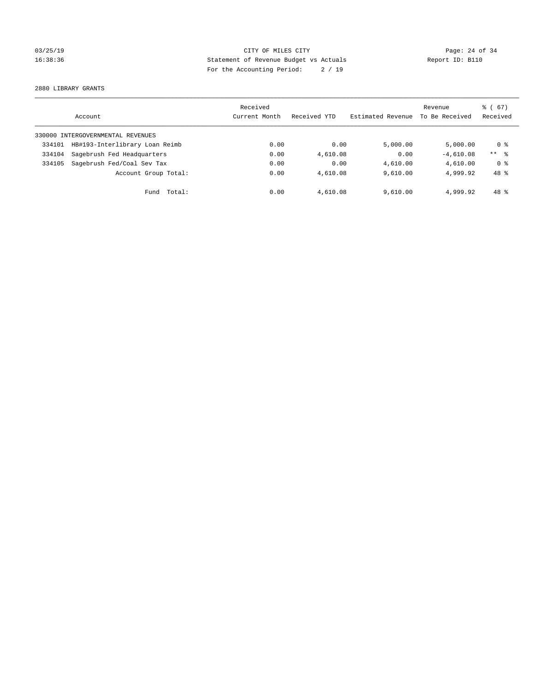# 03/25/19 Page: 24 of 34 16:38:36 Statement of Revenue Budget vs Actuals Report ID: B110 For the Accounting Period: 2 / 19

2880 LIBRARY GRANTS

|        | Account                           | Received<br>Current Month | Received YTD | Estimated Revenue | Revenue<br>To Be Received | $\frac{6}{6}$ (67)<br>Received |
|--------|-----------------------------------|---------------------------|--------------|-------------------|---------------------------|--------------------------------|
|        | 330000 INTERGOVERNMENTAL REVENUES |                           |              |                   |                           |                                |
| 334101 | HB#193-Interlibrary Loan Reimb    | 0.00                      | 0.00         | 5,000.00          | 5.000.00                  | 0 ક                            |
| 334104 | Sagebrush Fed Headquarters        | 0.00                      | 4,610.08     | 0.00              | $-4.610.08$               | $***$ 8                        |
| 334105 | Sagebrush Fed/Coal Sev Tax        | 0.00                      | 0.00         | 4,610.00          | 4,610.00                  | 0 %                            |
|        | Account Group Total:              | 0.00                      | 4,610.08     | 9.610.00          | 4,999.92                  | 48 %                           |
|        | Total:<br>Fund                    | 0.00                      | 4,610.08     | 9,610.00          | 4,999.92                  | $48*$                          |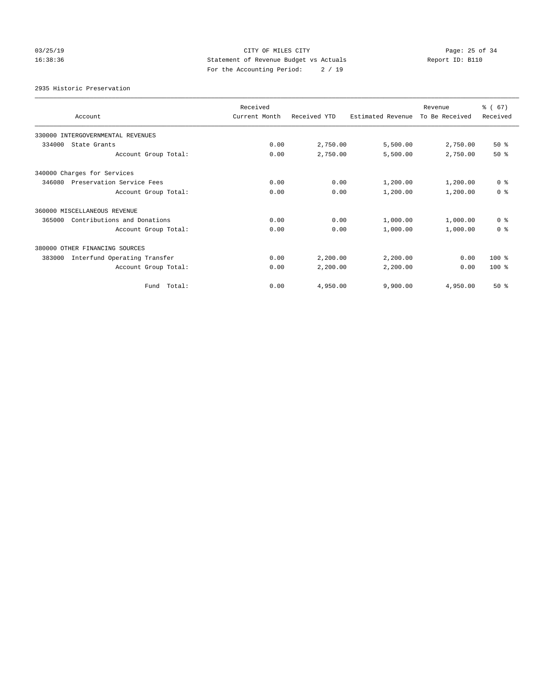# 03/25/19 Page: 25 of 34 16:38:36 Statement of Revenue Budget vs Actuals Report ID: B110 For the Accounting Period: 2 / 19

2935 Historic Preservation

| Account                                | Received<br>Current Month | Received YTD | Estimated Revenue | Revenue<br>To Be Received | % (67)<br>Received |
|----------------------------------------|---------------------------|--------------|-------------------|---------------------------|--------------------|
| 330000 INTERGOVERNMENTAL REVENUES      |                           |              |                   |                           |                    |
| 334000<br>State Grants                 | 0.00                      | 2,750.00     | 5,500.00          | 2,750.00                  | $50*$              |
| Account Group Total:                   | 0.00                      | 2,750.00     | 5,500.00          | 2,750.00                  | $50*$              |
| 340000 Charges for Services            |                           |              |                   |                           |                    |
| 346080<br>Preservation Service Fees    | 0.00                      | 0.00         | 1,200.00          | 1,200.00                  | 0 <sup>8</sup>     |
| Account Group Total:                   | 0.00                      | 0.00         | 1,200.00          | 1,200.00                  | 0 <sup>8</sup>     |
| 360000 MISCELLANEOUS REVENUE           |                           |              |                   |                           |                    |
| 365000<br>Contributions and Donations  | 0.00                      | 0.00         | 1,000.00          | 1,000.00                  | 0 <sup>8</sup>     |
| Account Group Total:                   | 0.00                      | 0.00         | 1,000.00          | 1,000.00                  | 0 <sup>8</sup>     |
| 380000 OTHER FINANCING SOURCES         |                           |              |                   |                           |                    |
| Interfund Operating Transfer<br>383000 | 0.00                      | 2,200.00     | 2,200.00          | 0.00                      | 100 %              |
| Account Group Total:                   | 0.00                      | 2,200.00     | 2,200.00          | 0.00                      | $100*$             |
| Fund Total:                            | 0.00                      | 4,950.00     | 9,900.00          | 4,950.00                  | $50*$              |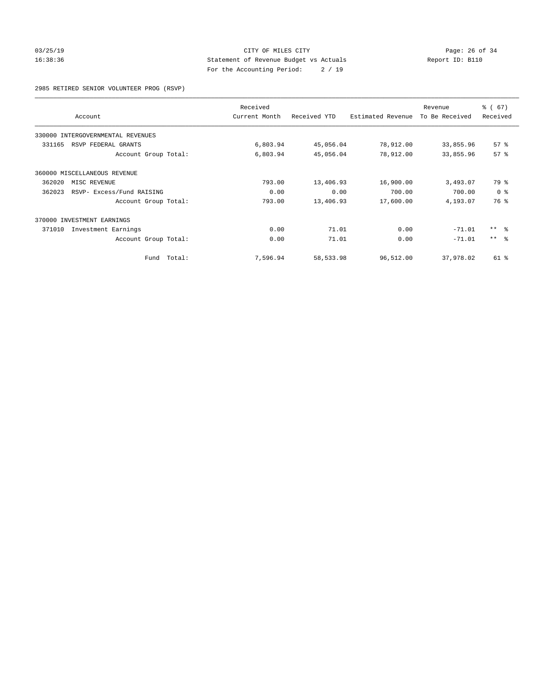# 03/25/19 Page: 26 of 34 16:38:36 Statement of Revenue Budget vs Actuals Report ID: B110 For the Accounting Period: 2 / 19

2985 RETIRED SENIOR VOLUNTEER PROG (RSVP)

|                              |                                   | Received      |              |                   | Revenue        | % (67)          |
|------------------------------|-----------------------------------|---------------|--------------|-------------------|----------------|-----------------|
| Account                      |                                   | Current Month | Received YTD | Estimated Revenue | To Be Received | Received        |
|                              | 330000 INTERGOVERNMENTAL REVENUES |               |              |                   |                |                 |
| 331165                       | RSVP FEDERAL GRANTS               | 6,803.94      | 45,056.04    | 78,912.00         | 33,855.96      | 57%             |
|                              | Account Group Total:              | 6,803.94      | 45,056.04    | 78,912.00         | 33,855.96      | 57 <sup>8</sup> |
| 360000 MISCELLANEOUS REVENUE |                                   |               |              |                   |                |                 |
| 362020                       | MISC REVENUE                      | 793.00        | 13,406.93    | 16,900.00         | 3,493.07       | 79 %            |
| 362023                       | RSVP- Excess/Fund RAISING         | 0.00          | 0.00         | 700.00            | 700.00         | 0 <sup>8</sup>  |
|                              | Account Group Total:              | 793.00        | 13,406.93    | 17,600.00         | 4,193.07       | 76 %            |
| 370000 INVESTMENT EARNINGS   |                                   |               |              |                   |                |                 |
| 371010                       | Investment Earnings               | 0.00          | 71.01        | 0.00              | $-71.01$       | $***$ $ -$      |
|                              | Account Group Total:              | 0.00          | 71.01        | 0.00              | $-71.01$       | $***$ $ -$      |
|                              | Fund Total:                       | 7,596.94      | 58,533.98    | 96,512.00         | 37,978.02      | 61 %            |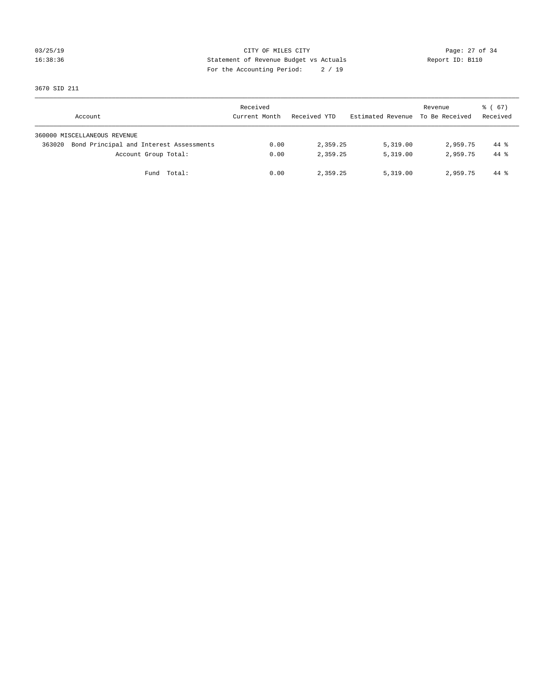# 03/25/19 Page: 27 of 34 16:38:36 Statement of Revenue Budget vs Actuals Report ID: B110 For the Accounting Period: 2 / 19

3670 SID 211

| Account                                           | Received<br>Current Month | Received YTD | Estimated Revenue To Be Received | Revenue  | 8 ( 67 )<br>Received |
|---------------------------------------------------|---------------------------|--------------|----------------------------------|----------|----------------------|
| 360000 MISCELLANEOUS REVENUE                      |                           |              |                                  |          |                      |
| Bond Principal and Interest Assessments<br>363020 | 0.00                      | 2,359.25     | 5,319.00                         | 2,959.75 | $44*$                |
| Account Group Total:                              | 0.00                      | 2,359.25     | 5,319.00                         | 2,959.75 | $44*$                |
| Fund Total:                                       | 0.00                      | 2,359.25     | 5.319.00                         | 2,959.75 | 44 %                 |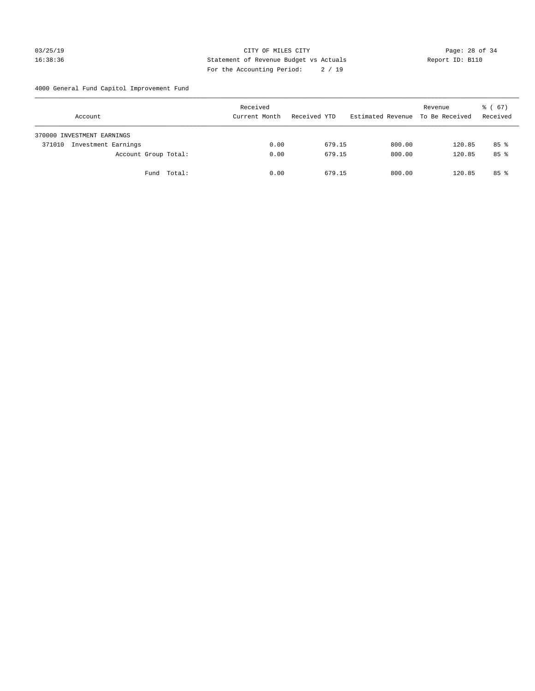# 03/25/19 Page: 28 of 34 16:38:36 Statement of Revenue Budget vs Actuals Report ID: B110 For the Accounting Period: 2 / 19

4000 General Fund Capitol Improvement Fund

| Account                    |                     |                      | Received<br>Current Month | Received YTD | Estimated Revenue | Revenue<br>To Be Received | $\frac{1}{6}$ (67)<br>Received |
|----------------------------|---------------------|----------------------|---------------------------|--------------|-------------------|---------------------------|--------------------------------|
| 370000 INVESTMENT EARNINGS |                     |                      |                           |              |                   |                           |                                |
| 371010                     | Investment Earnings |                      | 0.00                      | 679.15       | 800.00            | 120.85                    | $85$ %                         |
|                            |                     | Account Group Total: | 0.00                      | 679.15       | 800.00            | 120.85                    | $85*$                          |
|                            |                     | Fund Total:          | 0.00                      | 679.15       | 800.00            | 120.85                    | $85*$                          |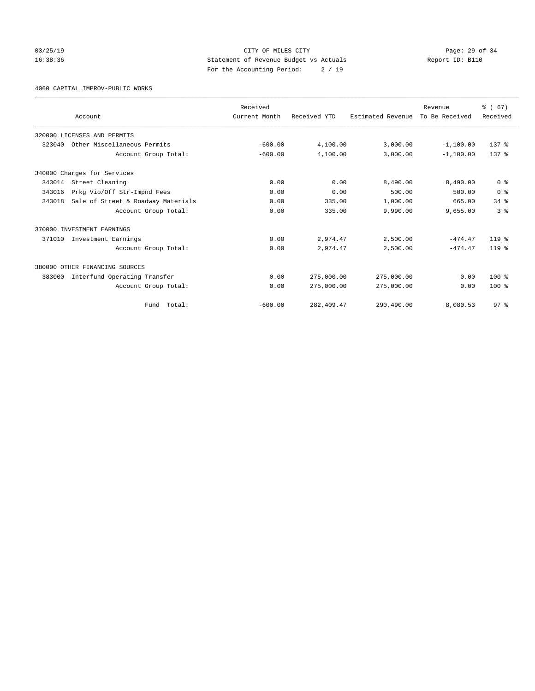# 03/25/19 Page: 29 of 34 16:38:36 Statement of Revenue Budget vs Actuals Report ID: B110 For the Accounting Period: 2 / 19

4060 CAPITAL IMPROV-PUBLIC WORKS

|        | Account                            | Received<br>Current Month | Received YTD | Estimated Revenue | Revenue<br>To Be Received | % (67)<br>Received |
|--------|------------------------------------|---------------------------|--------------|-------------------|---------------------------|--------------------|
|        | 320000 LICENSES AND PERMITS        |                           |              |                   |                           |                    |
| 323040 | Other Miscellaneous Permits        | $-600.00$                 | 4,100.00     | 3,000.00          | $-1,100.00$               | 137 <sub>8</sub>   |
|        | Account Group Total:               | $-600.00$                 | 4,100.00     | 3,000.00          | $-1.100.00$               | 137 <sub>8</sub>   |
|        | 340000 Charges for Services        |                           |              |                   |                           |                    |
| 343014 | Street Cleaning                    | 0.00                      | 0.00         | 8,490.00          | 8,490.00                  | 0 <sup>8</sup>     |
| 343016 | Prkg Vio/Off Str-Impnd Fees        | 0.00                      | 0.00         | 500.00            | 500.00                    | 0 <sup>8</sup>     |
| 343018 | Sale of Street & Roadway Materials | 0.00                      | 335.00       | 1,000.00          | 665.00                    | 34.8               |
|        | Account Group Total:               | 0.00                      | 335.00       | 9,990.00          | 9,655.00                  | 3 <sup>8</sup>     |
|        | 370000 INVESTMENT EARNINGS         |                           |              |                   |                           |                    |
| 371010 | Investment Earnings                | 0.00                      | 2,974.47     | 2,500.00          | $-474.47$                 | $119*$             |
|        | Account Group Total:               | 0.00                      | 2,974.47     | 2,500.00          | $-474.47$                 | $119*$             |
|        | 380000 OTHER FINANCING SOURCES     |                           |              |                   |                           |                    |
| 383000 | Interfund Operating Transfer       | 0.00                      | 275,000.00   | 275,000.00        | 0.00                      | $100*$             |
|        | Account Group Total:               | 0.00                      | 275,000.00   | 275,000.00        | 0.00                      | $100*$             |
|        | Fund Total:                        | $-600.00$                 | 282, 409.47  | 290,490.00        | 8,080.53                  | 97 <sup>8</sup>    |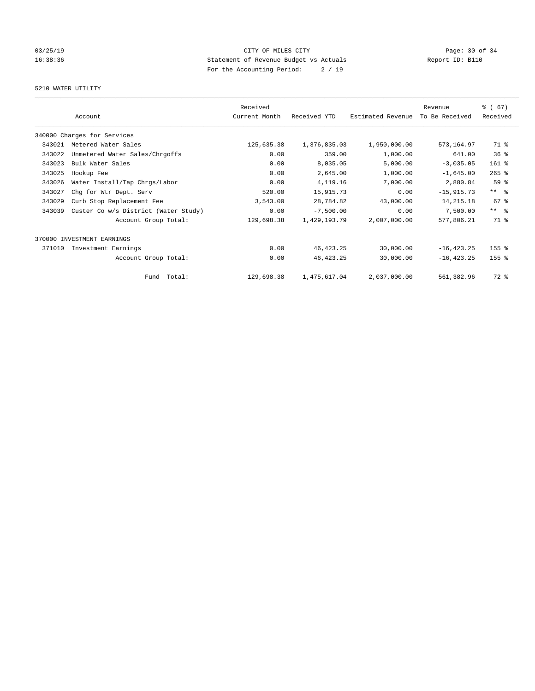# 03/25/19 Page: 30 of 34 16:38:36 Statement of Revenue Budget vs Actuals Report ID: B110 For the Accounting Period: 2 / 19

# 5210 WATER UTILITY

|        | Account                              | Received<br>Current Month | Received YTD | Estimated Revenue | Revenue<br>To Be Received | % (67)<br>Received |
|--------|--------------------------------------|---------------------------|--------------|-------------------|---------------------------|--------------------|
|        | 340000 Charges for Services          |                           |              |                   |                           |                    |
| 343021 | Metered Water Sales                  | 125,635.38                | 1,376,835.03 | 1,950,000.00      | 573,164.97                | 71 %               |
| 343022 | Unmetered Water Sales/Chrgoffs       | 0.00                      | 359.00       | 1,000.00          | 641.00                    | 36 <sup>8</sup>    |
| 343023 | Bulk Water Sales                     | 0.00                      | 8,035.05     | 5,000.00          | $-3,035.05$               | $161$ %            |
| 343025 | Hookup Fee                           | 0.00                      | 2,645.00     | 1,000.00          | $-1,645.00$               | $265$ $%$          |
| 343026 | Water Install/Tap Chrgs/Labor        | 0.00                      | 4, 119. 16   | 7,000.00          | 2,880.84                  | 59 %               |
| 343027 | Chg for Wtr Dept. Serv               | 520.00                    | 15,915.73    | 0.00              | $-15,915.73$              | $***$ $ -$         |
| 343029 | Curb Stop Replacement Fee            | 3,543.00                  | 28,784.82    | 43,000.00         | 14, 215. 18               | 67 <sup>8</sup>    |
| 343039 | Custer Co w/s District (Water Study) | 0.00                      | $-7,500.00$  | 0.00              | 7,500.00                  | $***$ $\approx$    |
|        | Account Group Total:                 | 129,698.38                | 1,429,193.79 | 2,007,000.00      | 577,806.21                | 71.8               |
|        | 370000 INVESTMENT EARNINGS           |                           |              |                   |                           |                    |
| 371010 | Investment Earnings                  | 0.00                      | 46, 423.25   | 30,000.00         | $-16, 423.25$             | 155 %              |
|        | Account Group Total:                 | 0.00                      | 46, 423. 25  | 30,000.00         | $-16, 423.25$             | $155$ $%$          |
|        | Fund Total:                          | 129,698.38                | 1,475,617.04 | 2,037,000.00      | 561,382.96                | 72 %               |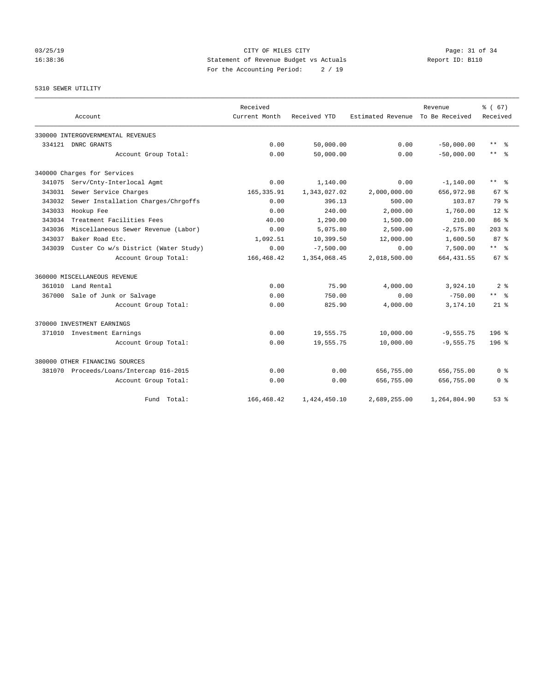# 03/25/19 Page: 31 of 34 16:38:36 Statement of Revenue Budget vs Actuals Report ID: B110 For the Accounting Period: 2 / 19

# 5310 SEWER UTILITY

|        |                                         | Received      |              |                   | Revenue        | % (67)                  |
|--------|-----------------------------------------|---------------|--------------|-------------------|----------------|-------------------------|
|        | Account                                 | Current Month | Received YTD | Estimated Revenue | To Be Received | Received                |
|        | 330000 INTERGOVERNMENTAL REVENUES       |               |              |                   |                |                         |
|        | 334121 DNRC GRANTS                      | 0.00          | 50,000.00    | 0.00              | $-50,000.00$   | $\star$ $\star$<br>- 응  |
|        | Account Group Total:                    | 0.00          | 50,000.00    | 0.00              | $-50.000.00$   | $***$ $ -$              |
|        | 340000 Charges for Services             |               |              |                   |                |                         |
| 341075 | Serv/Cnty-Interlocal Agmt               | 0.00          | 1,140.00     | 0.00              | $-1, 140.00$   | $***$ $=$ $\frac{6}{5}$ |
| 343031 | Sewer Service Charges                   | 165, 335.91   | 1,343,027.02 | 2,000,000.00      | 656,972.98     | 67 <sup>8</sup>         |
| 343032 | Sewer Installation Charges/Chrgoffs     | 0.00          | 396.13       | 500.00            | 103.87         | 79 %                    |
| 343033 | Hookup Fee                              | 0.00          | 240.00       | 2,000.00          | 1,760.00       | $12*$                   |
| 343034 | Treatment Facilities Fees               | 40.00         | 1,290.00     | 1,500.00          | 210.00         | 86 <sup>8</sup>         |
| 343036 | Miscellaneous Sewer Revenue (Labor)     | 0.00          | 5,075.80     | 2,500.00          | $-2,575.80$    | $203$ $%$               |
| 343037 | Baker Road Etc.                         | 1,092.51      | 10,399.50    | 12,000.00         | 1,600.50       | 87 <sup>8</sup>         |
| 343039 | Custer Co w/s District (Water Study)    | 0.00          | $-7,500.00$  | 0.00              | 7,500.00       | $***$ $ -$              |
|        | Account Group Total:                    | 166, 468.42   | 1,354,068.45 | 2,018,500.00      | 664, 431.55    | 67 <sup>8</sup>         |
|        | 360000 MISCELLANEOUS REVENUE            |               |              |                   |                |                         |
| 361010 | Land Rental                             | 0.00          | 75.90        | 4,000.00          | 3,924.10       | 2 <sup>8</sup>          |
| 367000 | Sale of Junk or Salvage                 | 0.00          | 750.00       | 0.00              | $-750.00$      | ** *                    |
|        | Account Group Total:                    | 0.00          | 825.90       | 4,000.00          | 3,174.10       | $21*$                   |
|        | 370000 INVESTMENT EARNINGS              |               |              |                   |                |                         |
| 371010 | Investment Earnings                     | 0.00          | 19,555.75    | 10,000.00         | $-9,555.75$    | $196$ $%$               |
|        | Account Group Total:                    | 0.00          | 19,555.75    | 10,000.00         | $-9,555.75$    | $196$ %                 |
|        | 380000 OTHER FINANCING SOURCES          |               |              |                   |                |                         |
|        | 381070 Proceeds/Loans/Intercap 016-2015 | 0.00          | 0.00         | 656,755.00        | 656,755.00     | 0 <sup>8</sup>          |
|        | Account Group Total:                    | 0.00          | 0.00         | 656,755.00        | 656,755.00     | 0 <sup>8</sup>          |
|        | Fund Total:                             | 166, 468.42   | 1,424,450.10 | 2,689,255.00      | 1,264,804.90   | 53%                     |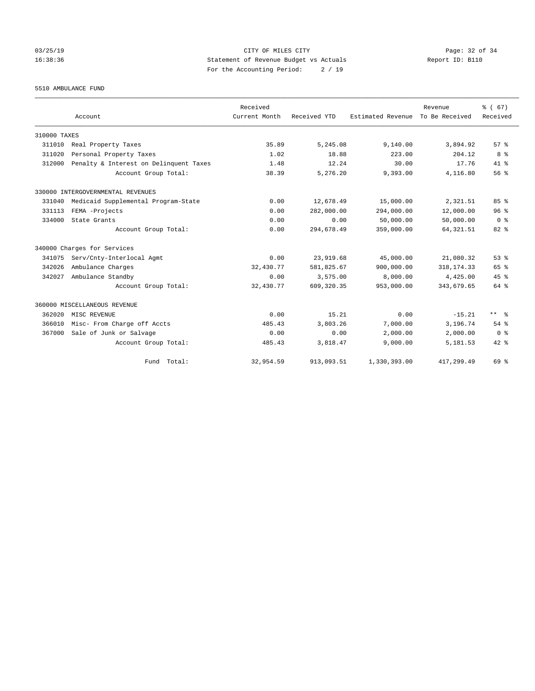03/25/19 Page: 32 of 34 16:38:36 Statement of Revenue Budget vs Actuals Report ID: B110 For the Accounting Period: 2 / 19

5510 AMBULANCE FUND

|              | Account                                | Received<br>Current Month | Received YTD | Estimated Revenue | Revenue<br>To Be Received | % (67)<br>Received      |
|--------------|----------------------------------------|---------------------------|--------------|-------------------|---------------------------|-------------------------|
| 310000 TAXES |                                        |                           |              |                   |                           |                         |
| 311010       | Real Property Taxes                    | 35.89                     | 5,245.08     | 9,140.00          | 3,894.92                  | 57%                     |
| 311020       | Personal Property Taxes                | 1.02                      | 18.88        | 223.00            | 204.12                    | 8 %                     |
| 312000       | Penalty & Interest on Delinquent Taxes | 1.48                      | 12.24        | 30.00             | 17.76                     | $41*$                   |
|              | Account Group Total:                   | 38.39                     | 5,276.20     | 9,393.00          | 4,116.80                  | 56%                     |
|              | 330000 INTERGOVERNMENTAL REVENUES      |                           |              |                   |                           |                         |
| 331040       | Medicaid Supplemental Program-State    | 0.00                      | 12,678.49    | 15,000.00         | 2,321.51                  | 85%                     |
| 331113       | FEMA -Projects                         | 0.00                      | 282,000.00   | 294,000.00        | 12,000.00                 | 96 <sup>8</sup>         |
| 334000       | State Grants                           | 0.00                      | 0.00         | 50,000.00         | 50,000.00                 | 0 <sup>8</sup>          |
|              | Account Group Total:                   | 0.00                      | 294,678.49   | 359,000.00        | 64, 321.51                | $82*$                   |
|              | 340000 Charges for Services            |                           |              |                   |                           |                         |
| 341075       | Serv/Cnty-Interlocal Agmt              | 0.00                      | 23,919.68    | 45,000.00         | 21,080.32                 | 53 <sup>8</sup>         |
| 342026       | Ambulance Charges                      | 32,430.77                 | 581,825.67   | 900,000.00        | 318, 174. 33              | 65 %                    |
| 342027       | Ambulance Standby                      | 0.00                      | 3,575.00     | 8,000.00          | 4,425.00                  | 45%                     |
|              | Account Group Total:                   | 32,430.77                 | 609, 320.35  | 953,000.00        | 343,679.65                | 64 %                    |
|              | 360000 MISCELLANEOUS REVENUE           |                           |              |                   |                           |                         |
| 362020       | MISC REVENUE                           | 0.00                      | 15.21        | 0.00              | $-15.21$                  | $***$ $=$ $\frac{6}{5}$ |
| 366010       | Misc- From Charge off Accts            | 485.43                    | 3,803.26     | 7,000.00          | 3,196.74                  | $54$ $%$                |
| 367000       | Sale of Junk or Salvage                | 0.00                      | 0.00         | 2,000.00          | 2,000.00                  | 0 <sup>8</sup>          |
|              | Account Group Total:                   | 485.43                    | 3,818.47     | 9,000.00          | 5,181.53                  | $42*$                   |
|              | Fund Total:                            | 32,954.59                 | 913,093.51   | 1,330,393.00      | 417,299.49                | 69 %                    |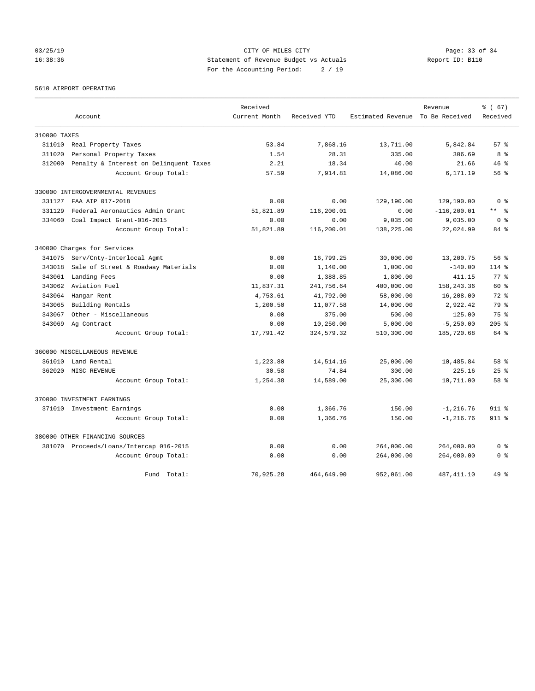# 03/25/19 Page: 33 of 34 16:38:36 Statement of Revenue Budget vs Actuals Report ID: B110 For the Accounting Period: 2 / 19

# 5610 AIRPORT OPERATING

|              |                                         | Received      |              |                                  | Revenue        | % (67)          |
|--------------|-----------------------------------------|---------------|--------------|----------------------------------|----------------|-----------------|
|              | Account                                 | Current Month | Received YTD | Estimated Revenue To Be Received |                | Received        |
| 310000 TAXES |                                         |               |              |                                  |                |                 |
| 311010       | Real Property Taxes                     | 53.84         | 7,868.16     | 13,711.00                        | 5,842.84       | $57*$           |
| 311020       | Personal Property Taxes                 | 1.54          | 28.31        | 335.00                           | 306.69         | 8 %             |
| 312000       | Penalty & Interest on Delinquent Taxes  | 2.21          | 18.34        | 40.00                            | 21.66          | 46%             |
|              | Account Group Total:                    | 57.59         | 7,914.81     | 14,086.00                        | 6,171.19       | 56 <sup>8</sup> |
|              | 330000 INTERGOVERNMENTAL REVENUES       |               |              |                                  |                |                 |
| 331127       | FAA AIP 017-2018                        | 0.00          | 0.00         | 129,190.00                       | 129,190.00     | 0 <sup>8</sup>  |
| 331129       | Federal Aeronautics Admin Grant         | 51,821.89     | 116,200.01   | 0.00                             | $-116, 200.01$ | ** *            |
| 334060       | Coal Impact Grant-016-2015              | 0.00          | 0.00         | 9,035.00                         | 9,035.00       | 0 <sup>8</sup>  |
|              | Account Group Total:                    | 51,821.89     | 116,200.01   | 138,225.00                       | 22,024.99      | 84 %            |
|              | 340000 Charges for Services             |               |              |                                  |                |                 |
| 341075       | Serv/Cnty-Interlocal Agmt               | 0.00          | 16,799.25    | 30,000.00                        | 13,200.75      | 56%             |
| 343018       | Sale of Street & Roadway Materials      | 0.00          | 1,140.00     | 1,000.00                         | $-140.00$      | $114$ %         |
| 343061       | Landing Fees                            | 0.00          | 1,388.85     | 1,800.00                         | 411.15         | 77.8            |
| 343062       | Aviation Fuel                           | 11,837.31     | 241,756.64   | 400,000.00                       | 158, 243.36    | $60*$           |
| 343064       | Hangar Rent                             | 4,753.61      | 41,792.00    | 58,000.00                        | 16,208.00      | $72*$           |
| 343065       | Building Rentals                        | 1,200.50      | 11,077.58    | 14,000.00                        | 2,922.42       | 79 %            |
| 343067       | Other - Miscellaneous                   | 0.00          | 375.00       | 500.00                           | 125.00         | 75 %            |
|              | 343069 Ag Contract                      | 0.00          | 10,250.00    | 5,000.00                         | $-5, 250.00$   | $205$ $%$       |
|              | Account Group Total:                    | 17,791.42     | 324, 579. 32 | 510,300.00                       | 185,720.68     | 64 %            |
|              | 360000 MISCELLANEOUS REVENUE            |               |              |                                  |                |                 |
| 361010       | Land Rental                             | 1,223.80      | 14,514.16    | 25,000.00                        | 10,485.84      | 58 %            |
| 362020       | MISC REVENUE                            | 30.58         | 74.84        | 300.00                           | 225.16         | $25$ $%$        |
|              | Account Group Total:                    | 1,254.38      | 14,589.00    | 25,300.00                        | 10,711.00      | 58 %            |
|              | 370000 INVESTMENT EARNINGS              |               |              |                                  |                |                 |
|              | 371010 Investment Earnings              | 0.00          | 1,366.76     | 150.00                           | $-1, 216.76$   | 911 %           |
|              | Account Group Total:                    | 0.00          | 1,366.76     | 150.00                           | $-1, 216.76$   | 911 %           |
|              | 380000 OTHER FINANCING SOURCES          |               |              |                                  |                |                 |
|              | 381070 Proceeds/Loans/Intercap 016-2015 | 0.00          | 0.00         | 264,000.00                       | 264,000.00     | 0 <sup>8</sup>  |
|              | Account Group Total:                    | 0.00          | 0.00         | 264,000.00                       | 264,000.00     | 0 <sup>8</sup>  |
|              | Total:<br>Fund                          | 70,925.28     | 464,649.90   | 952,061.00                       | 487, 411.10    | 49 %            |